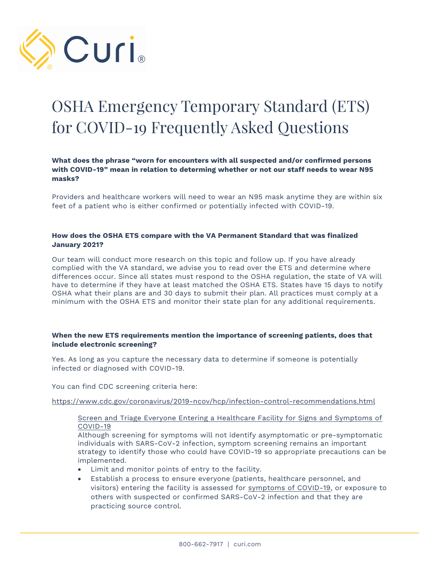

# OSHA Emergency Temporary Standard (ETS) for COVID-19 Frequently Asked Questions

# **What does the phrase "worn for encounters with all suspected and/or confirmed persons with COVID-19" mean in relation to determing whether or not our staff needs to wear N95 masks?**

Providers and healthcare workers will need to wear an N95 mask anytime they are within six feet of a patient who is either confirmed or potentially infected with COVID-19.

# **How does the OSHA ETS compare with the VA Permanent Standard that was finalized January 2021?**

Our team will conduct more research on this topic and follow up. If you have already complied with the VA standard, we advise you to read over the ETS and determine where differences occur. Since all states must respond to the OSHA regulation, the state of VA will have to determine if they have at least matched the OSHA ETS. States have 15 days to notify OSHA what their plans are and 30 days to submit their plan. All practices must comply at a minimum with the OSHA ETS and monitor their state plan for any additional requirements.

## **When the new ETS requirements mention the importance of screening patients, does that include electronic screening?**

Yes. As long as you capture the necessary data to determine if someone is potentially infected or diagnosed with COVID-19.

You can find CDC screening criteria here:

https://www.cdc.gov/coronavirus/2019-ncov/hcp/infection-control-recommendations.html

## Screen and Triage Everyone Entering a Healthcare Facility for Signs and Symptoms of COVID-19

Although screening for symptoms will not identify asymptomatic or pre-symptomatic individuals with SARS-CoV-2 infection, symptom screening remains an important strategy to identify those who could have COVID-19 so appropriate precautions can be implemented.

- Limit and monitor points of entry to the facility.
- Establish a process to ensure everyone (patients, healthcare personnel, and visitors) entering the facility is assessed for symptoms of COVID-19, or exposure to others with suspected or confirmed SARS-CoV-2 infection and that they are practicing source control.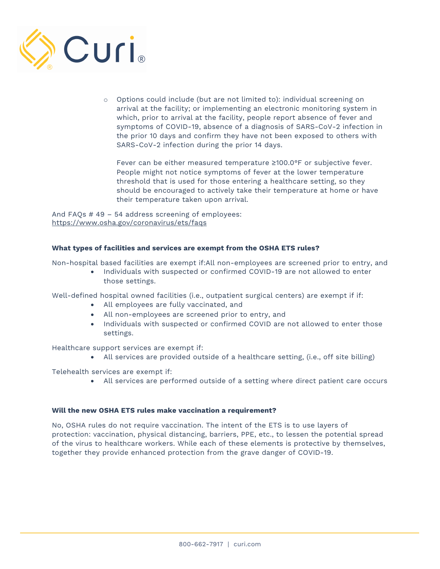

o Options could include (but are not limited to): individual screening on arrival at the facility; or implementing an electronic monitoring system in which, prior to arrival at the facility, people report absence of fever and symptoms of COVID-19, absence of a diagnosis of SARS-CoV-2 infection in the prior 10 days and confirm they have not been exposed to others with SARS-CoV-2 infection during the prior 14 days.

Fever can be either measured temperature ≥100.0°F or subjective fever. People might not notice symptoms of fever at the lower temperature threshold that is used for those entering a healthcare setting, so they should be encouraged to actively take their temperature at home or have their temperature taken upon arrival.

And FAQs # 49 – 54 address screening of employees: https://www.osha.gov/coronavirus/ets/faqs

## **What types of facilities and services are exempt from the OSHA ETS rules?**

Non-hospital based facilities are exempt if:All non-employees are screened prior to entry, and

• Individuals with suspected or confirmed COVID-19 are not allowed to enter those settings.

Well-defined hospital owned facilities (i.e., outpatient surgical centers) are exempt if if:

- All employees are fully vaccinated, and
- All non-employees are screened prior to entry, and
- Individuals with suspected or confirmed COVID are not allowed to enter those settings.

Healthcare support services are exempt if:

• All services are provided outside of a healthcare setting, (i.e., off site billing)

Telehealth services are exempt if:

• All services are performed outside of a setting where direct patient care occurs

#### **Will the new OSHA ETS rules make vaccination a requirement?**

No, OSHA rules do not require vaccination. The intent of the ETS is to use layers of protection: vaccination, physical distancing, barriers, PPE, etc., to lessen the potential spread of the virus to healthcare workers. While each of these elements is protective by themselves, together they provide enhanced protection from the grave danger of COVID-19.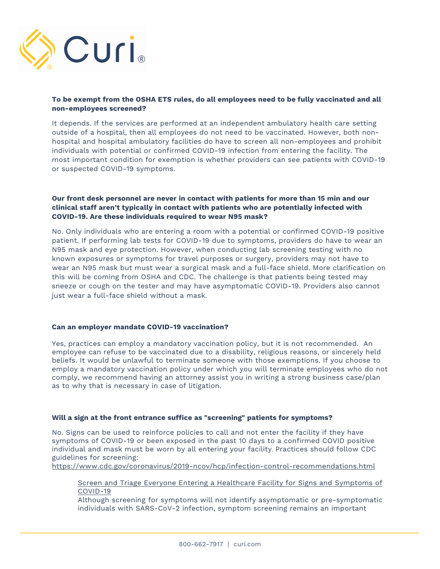

## **To be exempt from the OSHA ETS rules, do all employees need to be fully vaccinated and all non-employees screened?**

It depends. If the services are performed at an independent ambulatory health care setting outside of a hospital, then all employees do not need to be vaccinated. However, both nonhospital and hospital ambulatory facilities do have to screen all non-employees and prohibit individuals with potential or confirmed COVID-19 infection from entering the facility. The most important condition for exemption is whether providers can see patients with COVID-19 or suspected COVID-19 symptoms.

# **Our front desk personnel are never in contact with patients for more than 15 min and our clinical staff aren't typically in contact with patients who are potentially infected with COVID-19. Are these individuals required to wear N95 mask?**

No. Only individuals who are entering a room with a potential or confirmed COVID-19 positive patient. If performing lab tests for COVID-19 due to symptoms, providers do have to wear an N95 mask and eye protection. However, when conducting lab screening testing with no known exposures or symptoms for travel purposes or surgery, providers may not have to wear an N95 mask but must wear a surgical mask and a full-face shield. More clarification on this will be coming from OSHA and CDC. The challenge is that patients being tested may sneeze or cough on the tester and may have asymptomatic COVID-19. Providers also cannot just wear a full-face shield without a mask.

## **Can an employer mandate COVID-19 vaccination?**

Yes, practices can employ a mandatory vaccination policy, but it is not recommended. An employee can refuse to be vaccinated due to a disability, religious reasons, or sincerely held beliefs. It would be unlawful to terminate someone with those exemptions. If you choose to employ a mandatory vaccination policy under which you will terminate employees who do not comply, we recommend having an attorney assist you in writing a strong business case/plan as to why that is necessary in case of litigation.

# **Will a sign at the front entrance suffice as "screening" patients for symptoms?**

No. Signs can be used to reinforce policies to call and not enter the facility if they have symptoms of COVID-19 or been exposed in the past 10 days to a confirmed COVID positive individual and mask must be worn by all entering your facility. Practices should follow CDC guidelines for screening:

https://www.cdc.gov/coronavirus/2019-ncov/hcp/infection-control-recommendations.html

Screen and Triage Everyone Entering a Healthcare Facility for Signs and Symptoms of COVID-19

Although screening for symptoms will not identify asymptomatic or pre-symptomatic individuals with SARS-CoV-2 infection, symptom screening remains an important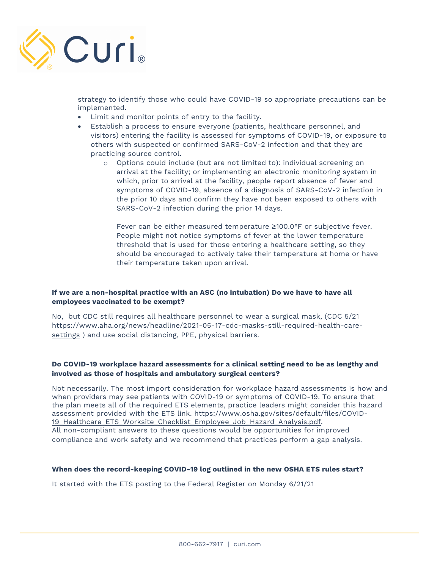

strategy to identify those who could have COVID-19 so appropriate precautions can be implemented.

- Limit and monitor points of entry to the facility.
- Establish a process to ensure everyone (patients, healthcare personnel, and visitors) entering the facility is assessed for symptoms of COVID-19, or exposure to others with suspected or confirmed SARS-CoV-2 infection and that they are practicing source control.
	- o Options could include (but are not limited to): individual screening on arrival at the facility; or implementing an electronic monitoring system in which, prior to arrival at the facility, people report absence of fever and symptoms of COVID-19, absence of a diagnosis of SARS-CoV-2 infection in the prior 10 days and confirm they have not been exposed to others with SARS-CoV-2 infection during the prior 14 days.

Fever can be either measured temperature ≥100.0°F or subjective fever. People might not notice symptoms of fever at the lower temperature threshold that is used for those entering a healthcare setting, so they should be encouraged to actively take their temperature at home or have their temperature taken upon arrival.

# **If we are a non-hospital practice with an ASC (no intubation) Do we have to have all employees vaccinated to be exempt?**

No, but CDC still requires all healthcare personnel to wear a surgical mask, (CDC 5/21 https://www.aha.org/news/headline/2021-05-17-cdc-masks-still-required-health-caresettings ) and use social distancing, PPE, physical barriers.

# **Do COVID-19 workplace hazard assessments for a clinical setting need to be as lengthy and involved as those of hospitals and ambulatory surgical centers?**

Not necessarily. The most import consideration for workplace hazard assessments is how and when providers may see patients with COVID-19 or symptoms of COVID-19. To ensure that the plan meets all of the required ETS elements, practice leaders might consider this hazard assessment provided with the ETS link. https://www.osha.gov/sites/default/files/COVID-19\_Healthcare\_ETS\_Worksite\_Checklist\_Employee\_Job\_Hazard\_Analysis.pdf. All non-compliant answers to these questions would be opportunities for improved compliance and work safety and we recommend that practices perform a gap analysis.

## **When does the record-keeping COVID-19 log outlined in the new OSHA ETS rules start?**

It started with the ETS posting to the Federal Register on Monday 6/21/21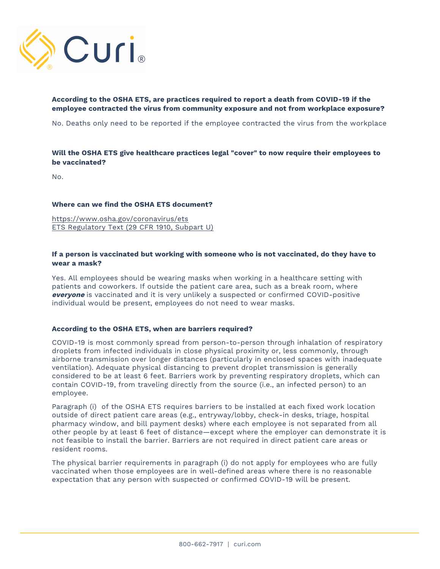

# **According to the OSHA ETS, are practices required to report a death from COVID-19 if the employee contracted the virus from community exposure and not from workplace exposure?**

No. Deaths only need to be reported if the employee contracted the virus from the workplace

# **Will the OSHA ETS give healthcare practices legal "cover" to now require their employees to be vaccinated?**

No.

#### **Where can we find the OSHA ETS document?**

https://www.osha.gov/coronavirus/ets ETS Regulatory Text (29 CFR 1910, Subpart U)

## **If a person is vaccinated but working with someone who is not vaccinated, do they have to wear a mask?**

Yes. All employees should be wearing masks when working in a healthcare setting with patients and coworkers. If outside the patient care area, such as a break room, where **everyone** is vaccinated and it is very unlikely a suspected or confirmed COVID-positive individual would be present, employees do not need to wear masks.

#### **According to the OSHA ETS, when are barriers required?**

COVID-19 is most commonly spread from person-to-person through inhalation of respiratory droplets from infected individuals in close physical proximity or, less commonly, through airborne transmission over longer distances (particularly in enclosed spaces with inadequate ventilation). Adequate physical distancing to prevent droplet transmission is generally considered to be at least 6 feet. Barriers work by preventing respiratory droplets, which can contain COVID-19, from traveling directly from the source (i.e., an infected person) to an employee.

Paragraph (i) of the OSHA ETS requires barriers to be installed at each fixed work location outside of direct patient care areas (e.g., entryway/lobby, check-in desks, triage, hospital pharmacy window, and bill payment desks) where each employee is not separated from all other people by at least 6 feet of distance—except where the employer can demonstrate it is not feasible to install the barrier. Barriers are not required in direct patient care areas or resident rooms.

The physical barrier requirements in paragraph (i) do not apply for employees who are fully vaccinated when those employees are in well-defined areas where there is no reasonable expectation that any person with suspected or confirmed COVID-19 will be present.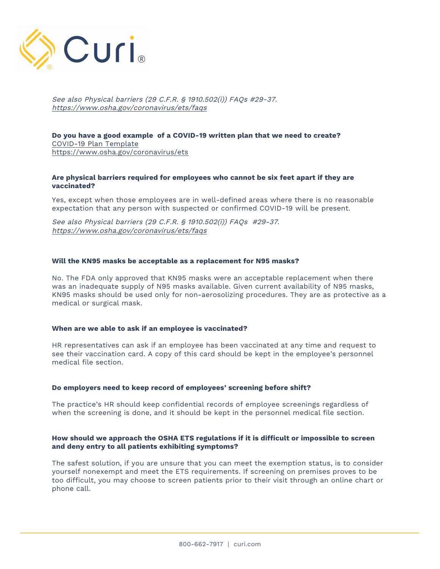

See also Physical barriers (29 C.F.R. § 1910.502(i)) FAQs #29-37. https://www.osha.gov/coronavirus/ets/faqs

**Do you have a good example of a COVID-19 written plan that we need to create?** COVID-19 Plan Template https://www.osha.gov/coronavirus/ets

#### **Are physical barriers required for employees who cannot be six feet apart if they are vaccinated?**

Yes, except when those employees are in well-defined areas where there is no reasonable expectation that any person with suspected or confirmed COVID-19 will be present.

See also Physical barriers (29 C.F.R. § 1910.502(i)) FAQs #29-37. https://www.osha.gov/coronavirus/ets/faqs

#### **Will the KN95 masks be acceptable as a replacement for N95 masks?**

No. The FDA only approved that KN95 masks were an acceptable replacement when there was an inadequate supply of N95 masks available. Given current availability of N95 masks, KN95 masks should be used only for non-aerosolizing procedures. They are as protective as a medical or surgical mask.

#### **When are we able to ask if an employee is vaccinated?**

HR representatives can ask if an employee has been vaccinated at any time and request to see their vaccination card. A copy of this card should be kept in the employee's personnel medical file section.

#### **Do employers need to keep record of employees' screening before shift?**

The practice's HR should keep confidential records of employee screenings regardless of when the screening is done, and it should be kept in the personnel medical file section.

#### **How should we approach the OSHA ETS regulations if it is difficult or impossible to screen and deny entry to all patients exhibiting symptoms?**

The safest solution, if you are unsure that you can meet the exemption status, is to consider yourself nonexempt and meet the ETS requirements. If screening on premises proves to be too difficult, you may choose to screen patients prior to their visit through an online chart or phone call.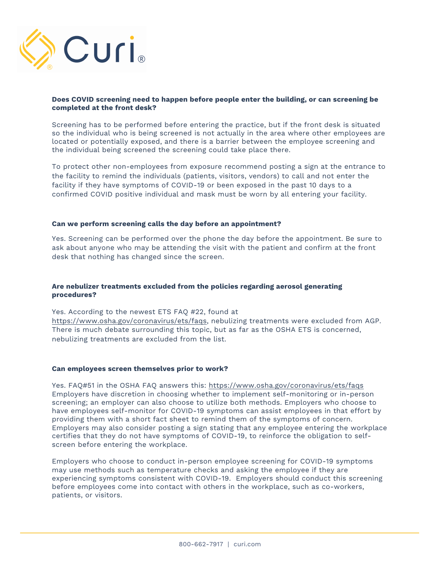

#### **Does COVID screening need to happen before people enter the building, or can screening be completed at the front desk?**

Screening has to be performed before entering the practice, but if the front desk is situated so the individual who is being screened is not actually in the area where other employees are located or potentially exposed, and there is a barrier between the employee screening and the individual being screened the screening could take place there.

To protect other non-employees from exposure recommend posting a sign at the entrance to the facility to remind the individuals (patients, visitors, vendors) to call and not enter the facility if they have symptoms of COVID-19 or been exposed in the past 10 days to a confirmed COVID positive individual and mask must be worn by all entering your facility.

#### **Can we perform screening calls the day before an appointment?**

Yes. Screening can be performed over the phone the day before the appointment. Be sure to ask about anyone who may be attending the visit with the patient and confirm at the front desk that nothing has changed since the screen.

## **Are nebulizer treatments excluded from the policies regarding aerosol generating procedures?**

Yes. According to the newest ETS FAQ #22, found at https://www.osha.gov/coronavirus/ets/faqs, nebulizing treatments were excluded from AGP. There is much debate surrounding this topic, but as far as the OSHA ETS is concerned, nebulizing treatments are excluded from the list.

#### **Can employees screen themselves prior to work?**

Yes. FAQ#51 in the OSHA FAQ answers this: https://www.osha.gov/coronavirus/ets/faqs Employers have discretion in choosing whether to implement self-monitoring or in-person screening; an employer can also choose to utilize both methods. Employers who choose to have employees self-monitor for COVID-19 symptoms can assist employees in that effort by providing them with a short fact sheet to remind them of the symptoms of concern. Employers may also consider posting a sign stating that any employee entering the workplace certifies that they do not have symptoms of COVID-19, to reinforce the obligation to selfscreen before entering the workplace.

Employers who choose to conduct in-person employee screening for COVID-19 symptoms may use methods such as temperature checks and asking the employee if they are experiencing symptoms consistent with COVID-19. Employers should conduct this screening before employees come into contact with others in the workplace, such as co-workers, patients, or visitors.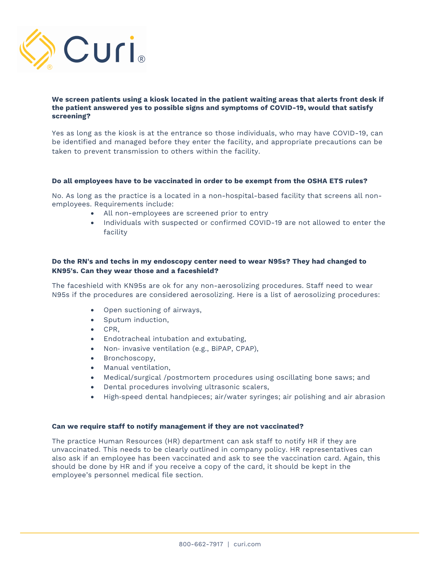

#### **We screen patients using a kiosk located in the patient waiting areas that alerts front desk if the patient answered yes to possible signs and symptoms of COVID-19, would that satisfy screening?**

Yes as long as the kiosk is at the entrance so those individuals, who may have COVID-19, can be identified and managed before they enter the facility, and appropriate precautions can be taken to prevent transmission to others within the facility.

#### **Do all employees have to be vaccinated in order to be exempt from the OSHA ETS rules?**

No. As long as the practice is a located in a non-hospital-based facility that screens all nonemployees. Requirements include:

- All non-employees are screened prior to entry
- Individuals with suspected or confirmed COVID-19 are not allowed to enter the facility

## **Do the RN's and techs in my endoscopy center need to wear N95s? They had changed to KN95's. Can they wear those and a faceshield?**

The faceshield with KN95s are ok for any non-aerosolizing procedures. Staff need to wear N95s if the procedures are considered aerosolizing. Here is a list of aerosolizing procedures:

- Open suctioning of airways,
- Sputum induction,
- CPR,
- Endotracheal intubation and extubating,
- Non- invasive ventilation (e.g., BiPAP, CPAP),
- Bronchoscopy,
- Manual ventilation,
- Medical/surgical /postmortem procedures using oscillating bone saws; and
- Dental procedures involving ultrasonic scalers,
- High-speed dental handpieces; air/water syringes; air polishing and air abrasion

## **Can we require staff to notify management if they are not vaccinated?**

The practice Human Resources (HR) department can ask staff to notify HR if they are unvaccinated. This needs to be clearly outlined in company policy. HR representatives can also ask if an employee has been vaccinated and ask to see the vaccination card. Again, this should be done by HR and if you receive a copy of the card, it should be kept in the employee's personnel medical file section.